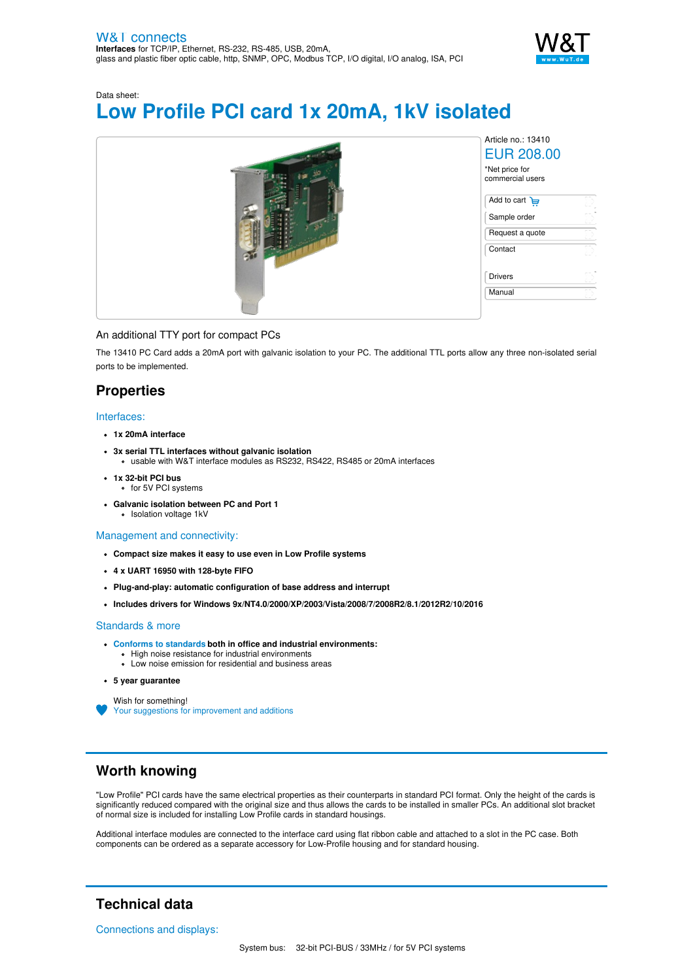

# Data sheet: **Low Profile PCI card 1x 20mA, 1kV isolated**



### An additional TTY port for compact PCs

The 13410 PC Card adds a 20mA port with galvanic isolation to your PC. The additional TTL ports allow any three non-isolated serial ports to be implemented.

## **Properties**

#### Interfaces:

- **1x 20mA interface**
- **3x serial TTL interfaces without galvanic isolation** usable with W&T interface modules as RS232, RS422, RS485 or 20mA interfaces
- **1x 32-bit PCI bus** for 5V PCI systems
- **Galvanic isolation between PC and Port 1** Isolation voltage 1kV

### Management and connectivity:

- **Compact size makes it easy to use even in Low Profile systems**
- **4 x UART 16950 with 128-byte FIFO**
- **Plug-and-play: automatic configuration of base address and interrupt**
- **Includes drivers for Windows 9x/NT4.0/2000/XP/2003/Vista/2008/7/2008R2/8.1/2012R2/10/2016**

#### Standards & more

- **Conforms to [standards](https://www.wut.de/download/ce/e-13410-10-rdus-000.pdf) both in office and industrial environments:**
	- High noise resistance for industrial environments
	- Low noise emission for residential and business areas
- **5 year guarantee**

Wish for something!

Your suggestions for [improvement](https://www.wut.de/e-wwwww-ws-orus-000.php?ArticleNr=13410) and additions

## **Worth knowing**

"Low Profile" PCI cards have the same electrical properties as their counterparts in standard PCI format. Only the height of the cards is significantly reduced compared with the original size and thus allows the cards to be installed in smaller PCs. An additional slot bracket of normal size is included for installing Low Profile cards in standard housings.

Additional interface modules are connected to the interface card using flat ribbon cable and attached to a slot in the PC case. Both components can be ordered as a separate accessory for Low-Profile housing and for standard housing.

# **Technical data**

Connections and displays: